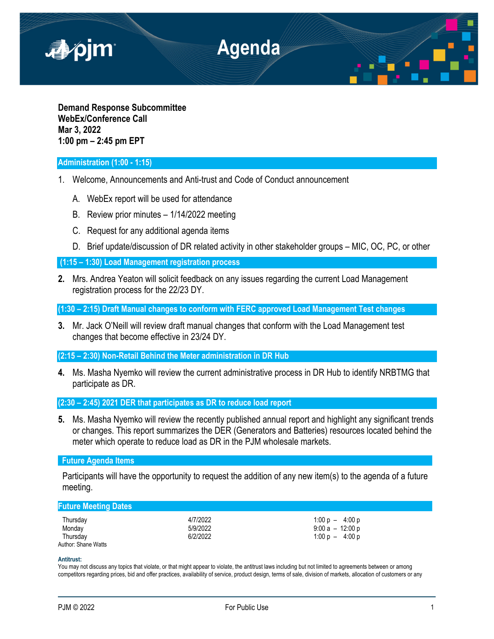

**Demand Response Subcommittee WebEx/Conference Call Mar 3, 2022 1:00 pm – 2:45 pm EPT**

# **Administration (1:00 - 1:15)**

- 1. Welcome, Announcements and Anti-trust and Code of Conduct announcement
	- A. WebEx report will be used for attendance
	- B. Review prior minutes 1/14/2022 meeting
	- C. Request for any additional agenda items
	- D. Brief update/discussion of DR related activity in other stakeholder groups MIC, OC, PC, or other

 **(1:15 – 1:30) Load Management registration process** 

**2.** Mrs. Andrea Yeaton will solicit feedback on any issues regarding the current Load Management registration process for the 22/23 DY.

**(1:30 – 2:15) Draft Manual changes to conform with FERC approved Load Management Test changes** 

**3.** Mr. Jack O'Neill will review draft manual changes that conform with the Load Management test changes that become effective in 23/24 DY.

**(2:15 – 2:30) Non-Retail Behind the Meter administration in DR Hub** 

**4.** Ms. Masha Nyemko will review the current administrative process in DR Hub to identify NRBTMG that participate as DR.

**(2:30 – 2:45) 2021 DER that participates as DR to reduce load report** 

**5.** Ms. Masha Nyemko will review the recently published annual report and highlight any significant trends or changes. This report summarizes the DER (Generators and Batteries) resources located behind the meter which operate to reduce load as DR in the PJM wholesale markets.

# **Future Agenda Items**

Participants will have the opportunity to request the addition of any new item(s) to the agenda of a future meeting.

| <b>Future Meeting Dates</b> |          |                   |  |
|-----------------------------|----------|-------------------|--|
| Thursday                    | 4/7/2022 | $1:00 p - 4:00 p$ |  |
| Monday                      | 5/9/2022 | $9:00a - 12:00p$  |  |
| Thursdav                    | 6/2/2022 | $1:00 p - 4:00 p$ |  |
| Author: Shane Watts         |          |                   |  |

#### **Antitrust:**

You may not discuss any topics that violate, or that might appear to violate, the antitrust laws including but not limited to agreements between or among competitors regarding prices, bid and offer practices, availability of service, product design, terms of sale, division of markets, allocation of customers or any